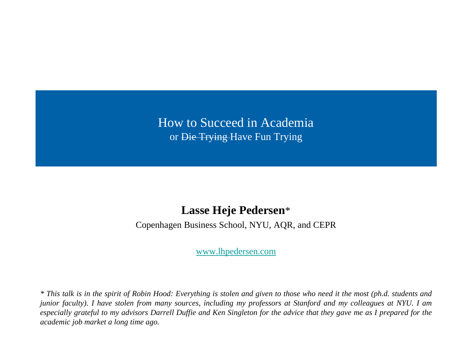## How to Succeed in Academia or Die Trying Have Fun Trying

#### **Lasse Heje Pedersen**\*

Copenhagen Business School, NYU, AQR, and CEPR

[www.lhpedersen.com](http://www.lhpedersen.com/)

\* This talk is in the spirit of Robin Hood: Everything is stolen and given to those who need it the most (ph.d. students and junior faculty). I have stolen from many sources, including my professors at Stanford and my colleagues at NYU. I am especially grateful to my advisors Darrell Duffie and Ken Singleton for the advice that they gave me as I prepared for the *academic job market a long time ago.*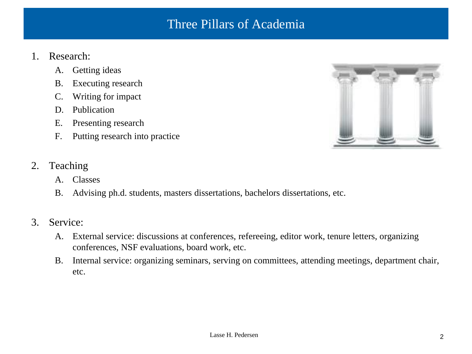### Three Pillars of Academia

#### 1. Research:

- A. Getting ideas
- B. Executing research
- C. Writing for impact
- D. Publication
- E. Presenting research
- F. Putting research into practice



- 2. Teaching
	- A. Classes
	- B. Advising ph.d. students, masters dissertations, bachelors dissertations, etc.
- 3. Service:
	- A. External service: discussions at conferences, refereeing, editor work, tenure letters, organizing conferences, NSF evaluations, board work, etc.
	- B. Internal service: organizing seminars, serving on committees, attending meetings, department chair, etc.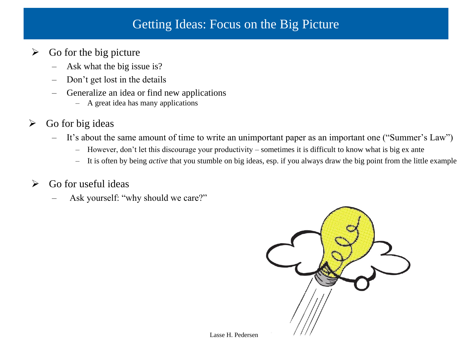## Getting Ideas: Focus on the Big Picture

#### $\triangleright$  Go for the big picture

- Ask what the big issue is?
- Don't get lost in the details
- Generalize an idea or find new applications
	- A great idea has many applications
- $\triangleright$  Go for big ideas
	- It's about the same amount of time to write an unimportant paper as an important one ("Summer's Law")
		- However, don't let this discourage your productivity sometimes it is difficult to know what is big ex ante
		- It is often by being *active* that you stumble on big ideas, esp. if you always draw the big point from the little example

#### $\triangleright$  Go for useful ideas

Ask yourself: "why should we care?"

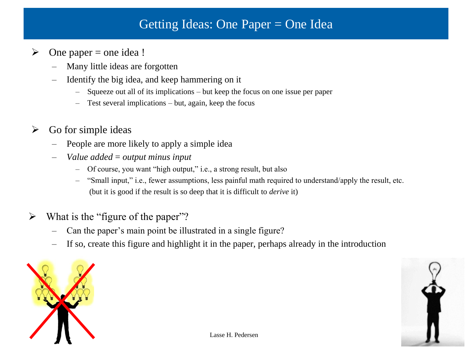## Getting Ideas: One Paper = One Idea

- $\triangleright$  One paper = one idea !
	- Many little ideas are forgotten
	- Identify the big idea, and keep hammering on it
		- Squeeze out all of its implications but keep the focus on one issue per paper
		- Test several implications but, again, keep the focus
- $\triangleright$  Go for simple ideas
	- People are more likely to apply a simple idea
	- *Value added* = *output minus input*
		- Of course, you want "high output," i.e., a strong result, but also
		- "Small input," i.e., fewer assumptions, less painful math required to understand/apply the result, etc. (but it is good if the result is so deep that it is difficult to *derive* it)
- $\triangleright$  What is the "figure of the paper"?
	- Can the paper's main point be illustrated in a single figure?
	- If so, create this figure and highlight it in the paper, perhaps already in the introduction



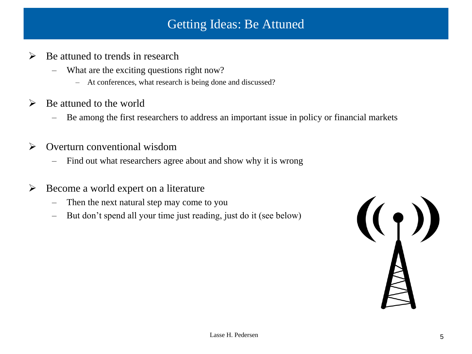## Getting Ideas: Be Attuned

- $\triangleright$  Be attuned to trends in research
	- What are the exciting questions right now?
		- At conferences, what research is being done and discussed?
- $\triangleright$  Be attuned to the world
	- Be among the first researchers to address an important issue in policy or financial markets
- $\triangleright$  Overturn conventional wisdom
	- Find out what researchers agree about and show why it is wrong
- $\triangleright$  Become a world expert on a literature
	- Then the next natural step may come to you
	- But don't spend all your time just reading, just do it (see below)

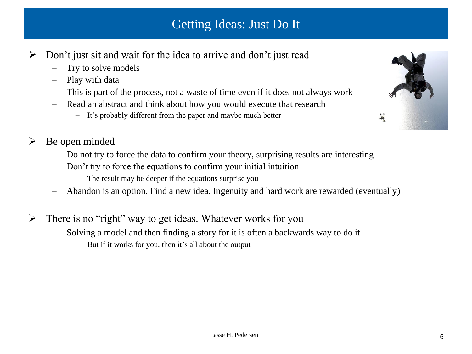# Getting Ideas: Just Do It

- $\triangleright$  Don't just sit and wait for the idea to arrive and don't just read
	- Try to solve models
	- Play with data
	- This is part of the process, not a waste of time even if it does not always work
	- Read an abstract and think about how you would execute that research
		- It's probably different from the paper and maybe much better



#### $\triangleright$  Be open minded

- Do not try to force the data to confirm your theory, surprising results are interesting
- Don't try to force the equations to confirm your initial intuition
	- The result may be deeper if the equations surprise you
- Abandon is an option. Find a new idea. Ingenuity and hard work are rewarded (eventually)
- $\triangleright$  There is no "right" way to get ideas. Whatever works for you
	- Solving a model and then finding a story for it is often a backwards way to do it
		- But if it works for you, then it's all about the output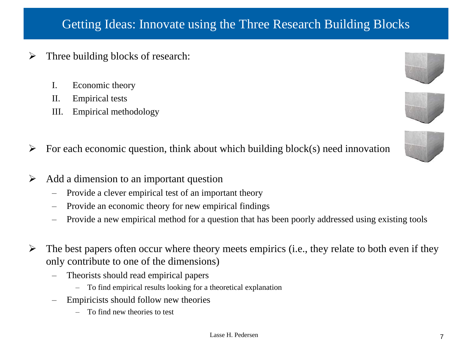# Getting Ideas: Innovate using the Three Research Building Blocks

- Three building blocks of research:
	- I. Economic theory
	- II. Empirical tests
	- III. Empirical methodology
- $\triangleright$  For each economic question, think about which building block(s) need innovation
- $\triangleright$  Add a dimension to an important question
	- Provide a clever empirical test of an important theory
	- Provide an economic theory for new empirical findings
	- Provide a new empirical method for a question that has been poorly addressed using existing tools
- $\triangleright$  The best papers often occur where theory meets empirics (i.e., they relate to both even if they only contribute to one of the dimensions)
	- Theorists should read empirical papers
		- To find empirical results looking for a theoretical explanation
	- Empiricists should follow new theories
		- To find new theories to test



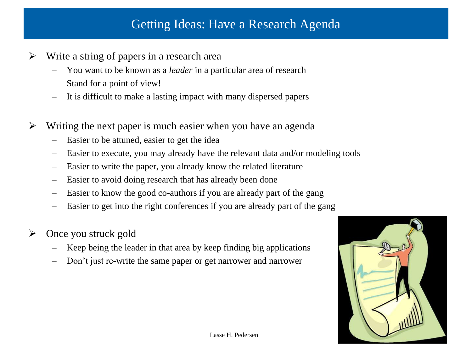## Getting Ideas: Have a Research Agenda

- Write a string of papers in a research area
	- You want to be known as a *leader* in a particular area of research
	- Stand for a point of view!
	- It is difficult to make a lasting impact with many dispersed papers
- $\triangleright$  Writing the next paper is much easier when you have an agenda
	- Easier to be attuned, easier to get the idea
	- Easier to execute, you may already have the relevant data and/or modeling tools
	- Easier to write the paper, you already know the related literature
	- Easier to avoid doing research that has already been done
	- Easier to know the good co-authors if you are already part of the gang
	- Easier to get into the right conferences if you are already part of the gang
- $\triangleright$  Once you struck gold
	- Keep being the leader in that area by keep finding big applications
	- Don't just re-write the same paper or get narrower and narrower

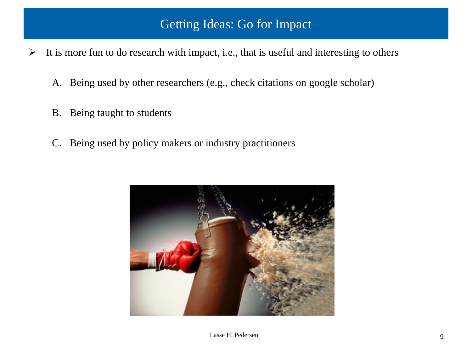## Getting Ideas: Go for Impact

- $\triangleright$  It is more fun to do research with impact, i.e., that is useful and interesting to others
	- A. Being used by other researchers (e.g., check citations on google scholar)
	- B. Being taught to students
	- C. Being used by policy makers or industry practitioners

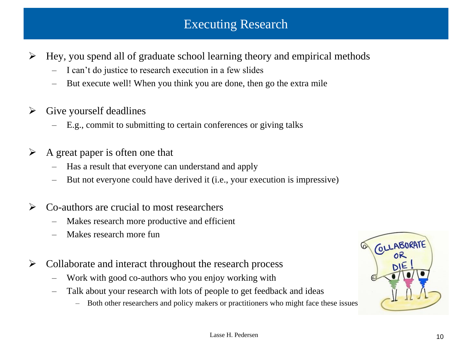## Executing Research

- $\triangleright$  Hey, you spend all of graduate school learning theory and empirical methods
	- I can't do justice to research execution in a few slides
	- But execute well! When you think you are done, then go the extra mile
- $\triangleright$  Give yourself deadlines
	- E.g., commit to submitting to certain conferences or giving talks
- $\triangleright$  A great paper is often one that
	- Has a result that everyone can understand and apply
	- But not everyone could have derived it (i.e., your execution is impressive)
- $\triangleright$  Co-authors are crucial to most researchers
	- Makes research more productive and efficient
	- Makes research more fun
- $\triangleright$  Collaborate and interact throughout the research process
	- Work with good co-authors who you enjoy working with
	- Talk about your research with lots of people to get feedback and ideas
		- Both other researchers and policy makers or practitioners who might face these issues

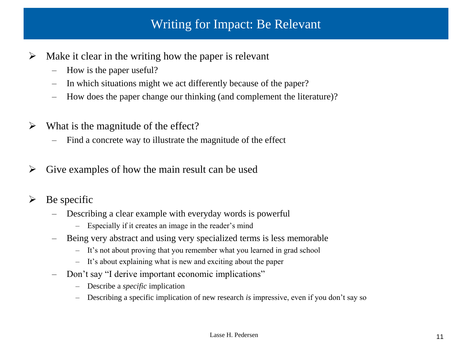## Writing for Impact: Be Relevant

- $\triangleright$  Make it clear in the writing how the paper is relevant
	- How is the paper useful?
	- In which situations might we act differently because of the paper?
	- How does the paper change our thinking (and complement the literature)?
- $\triangleright$  What is the magnitude of the effect?
	- Find a concrete way to illustrate the magnitude of the effect
- $\triangleright$  Give examples of how the main result can be used
- $\triangleright$  Be specific
	- Describing a clear example with everyday words is powerful
		- Especially if it creates an image in the reader's mind
	- Being very abstract and using very specialized terms is less memorable
		- It's not about proving that you remember what you learned in grad school
		- It's about explaining what is new and exciting about the paper
	- Don't say "I derive important economic implications"
		- Describe a *specific* implication
		- Describing a specific implication of new research *is* impressive, even if you don't say so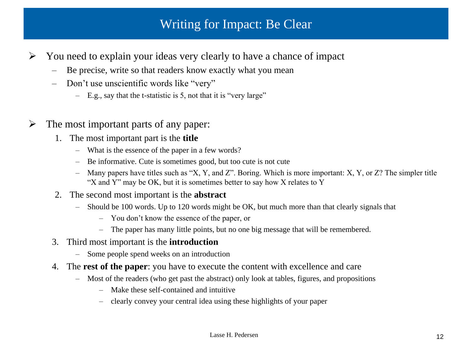## Writing for Impact: Be Clear

- $\triangleright$  You need to explain your ideas very clearly to have a chance of impact
	- Be precise, write so that readers know exactly what you mean
	- Don't use unscientific words like "very"
		- E.g., say that the t-statistic is 5, not that it is "very large"
- $\triangleright$  The most important parts of any paper:
	- 1. The most important part is the **title**
		- What is the essence of the paper in a few words?
		- Be informative. Cute is sometimes good, but too cute is not cute
		- Many papers have titles such as "X, Y, and Z". Boring. Which is more important: X, Y, or Z? The simpler title "X and Y" may be OK, but it is sometimes better to say how X relates to Y
	- 2. The second most important is the **abstract**
		- Should be 100 words. Up to 120 words might be OK, but much more than that clearly signals that
			- You don't know the essence of the paper, or
			- The paper has many little points, but no one big message that will be remembered.
	- 3. Third most important is the **introduction**
		- Some people spend weeks on an introduction
	- 4. The **rest of the paper**: you have to execute the content with excellence and care
		- Most of the readers (who get past the abstract) only look at tables, figures, and propositions
			- Make these self-contained and intuitive
			- clearly convey your central idea using these highlights of your paper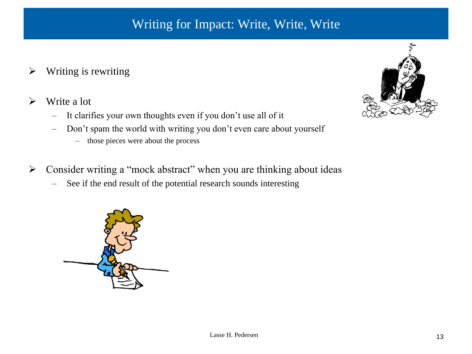# Writing for Impact: Write, Write, Write

- $\triangleright$  Writing is rewriting
- $\triangleright$  Write a lot
	- It clarifies your own thoughts even if you don't use all of it
	- Don't spam the world with writing you don't even care about yourself
		- those pieces were about the process
- $\triangleright$  Consider writing a "mock abstract" when you are thinking about ideas
	- See if the end result of the potential research sounds interesting



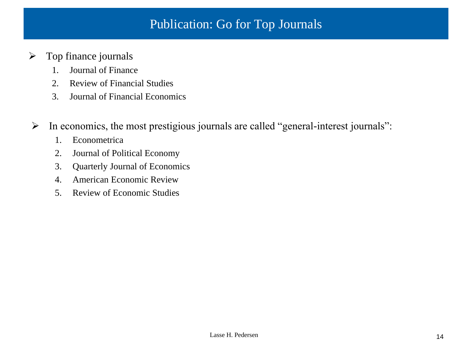## Publication: Go for Top Journals

#### $\triangleright$  Top finance journals

- 1. Journal of Finance
- 2. Review of Financial Studies
- 3. Journal of Financial Economics
- $\triangleright$  In economics, the most prestigious journals are called "general-interest journals":
	- 1. Econometrica
	- 2. Journal of Political Economy
	- 3. Quarterly Journal of Economics
	- 4. American Economic Review
	- 5. Review of Economic Studies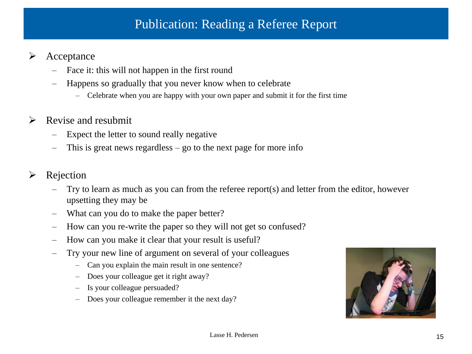# Publication: Reading a Referee Report

#### $\triangleright$  Acceptance

- Face it: this will not happen in the first round
- Happens so gradually that you never know when to celebrate
	- Celebrate when you are happy with your own paper and submit it for the first time

#### $\triangleright$  Revise and resubmit

- Expect the letter to sound really negative
- This is great news regardless go to the next page for more info

#### $\triangleright$  Rejection

- Try to learn as much as you can from the referee report(s) and letter from the editor, however upsetting they may be
- What can you do to make the paper better?
- How can you re-write the paper so they will not get so confused?
- How can you make it clear that your result is useful?
- Try your new line of argument on several of your colleagues
	- Can you explain the main result in one sentence?
	- Does your colleague get it right away?
	- Is your colleague persuaded?
	- Does your colleague remember it the next day?

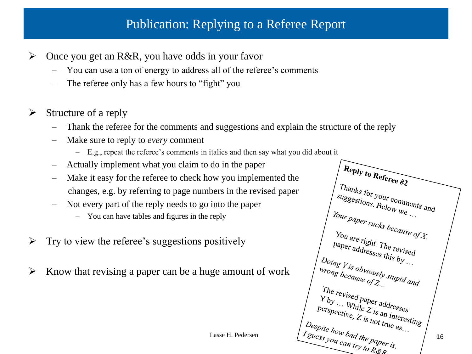# Publication: Replying to a Referee Report

- $\triangleright$  Once you get an R&R, you have odds in your favor
	- You can use a ton of energy to address all of the referee's comments
	- The referee only has a few hours to "fight" you
- $\triangleright$  Structure of a reply
	- Thank the referee for the comments and suggestions and explain the structure of the reply
	- Make sure to reply to *every* comment
		- E.g., repeat the referee's comments in italics and then say what you did about it
	- Actually implement what you claim to do in the paper
	- Make it easy for the referee to check how you implemented the changes, e.g. by referring to page numbers in the revised paper
	- Not every part of the reply needs to go into the paper
		- You can have tables and figures in the reply
- $\triangleright$  Try to view the referee's suggestions positively
- $\triangleright$  Know that revising a paper can be a huge amount of work

 $\overbrace{H_{\text{c}}(R)}^{R_{\text{c}}(R_{\text{c}})}$  $\begin{array}{c} \begin{array}{c} \text{ $\mathcal{T}$} has a 42 \\ \text{ $\mathit{supg}_{\mathit{estions}}$ for your computers and \\ \text{ $\mathit{supg}_{\mathit{estions}}$. Below we \end{array}$} \end{array}$ suggestions. Below we ...  $Y_{Our paper, SuckS}$  because of X.<br>You are right  $Y_{OU \, are \, right.}$  The revised<br>paper addresses this L paper addresses this by  $\frac{p_{ap}}{p_{ap}}$  $\bigcup_{\text{Doing } Y \text{ is } \text{obviously}}$ <br>  $\bigcup_{\text{wrong } \text{becauss} \text{ is } \text{obviously}}$ <br>  $\bigcup_{\text{Aupid} \text{ and } \text{Cupid}}$ *wrong Y is obviously sump Y is obviously sump 8* The revised paper addresses<br>
Y by ... While Z is an inter- $Y_{by}$  ... While  $Z$  is addresses<br>perspective,  $Z$  is an interesting<br> $Z$  is not true as Lasse H. Pedersen  $\left\{\n\begin{array}{l}\n\sum_{\text{P} \sim \text{curve}} E_{\text{IS}} \log t_{\text{true}} \\
\sum_{\text{B} \sim \text{loop}} \log t_{\text{true}} \log t_{\text{true}} \\
\sum_{\text{S} \sim \text{loop}} \log t_{\text{true}} \log t_{\text{true}} \\
\sum_{\text{S} \sim \text{loop}} \log t_{\text{true}} \log t_{\text{true}} \log t_{\text{true}} \\
\log t_{\text{true}} \log t_{\text{true}} \log t_{\text{true}}\n\end{array}\n\right\}\n\right\}$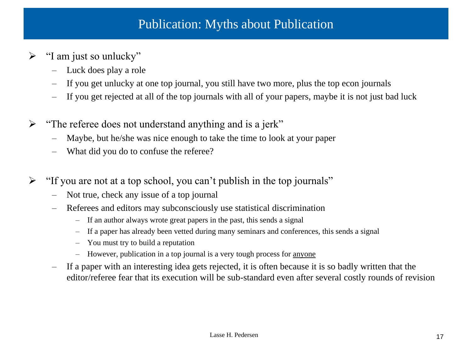### Publication: Myths about Publication

- $\triangleright$  "I am just so unlucky"
	- Luck does play a role
	- If you get unlucky at one top journal, you still have two more, plus the top econ journals
	- If you get rejected at all of the top journals with all of your papers, maybe it is not just bad luck
- $\triangleright$  "The referee does not understand anything and is a jerk"
	- Maybe, but he/she was nice enough to take the time to look at your paper
	- What did you do to confuse the referee?
- $\triangleright$  "If you are not at a top school, you can't publish in the top journals"
	- Not true, check any issue of a top journal
	- Referees and editors may subconsciously use statistical discrimination
		- If an author always wrote great papers in the past, this sends a signal
		- If a paper has already been vetted during many seminars and conferences, this sends a signal
		- You must try to build a reputation
		- However, publication in a top journal is a very tough process for anyone
	- If a paper with an interesting idea gets rejected, it is often because it is so badly written that the editor/referee fear that its execution will be sub-standard even after several costly rounds of revision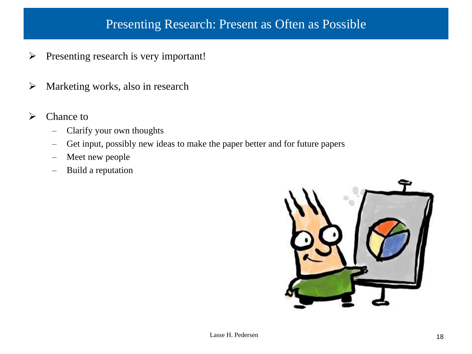## Presenting Research: Present as Often as Possible

- $\triangleright$  Presenting research is very important!
- $\triangleright$  Marketing works, also in research
- $\triangleright$  Chance to
	- Clarify your own thoughts
	- Get input, possibly new ideas to make the paper better and for future papers
	- Meet new people
	- Build a reputation

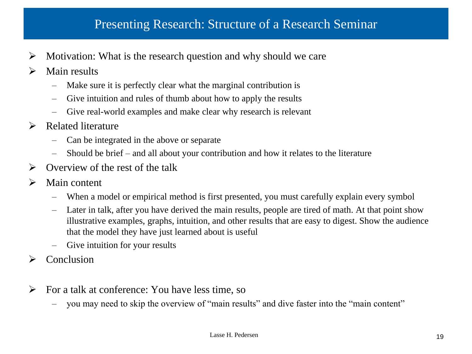#### Presenting Research: Structure of a Research Seminar

- $\triangleright$  Motivation: What is the research question and why should we care
- $\triangleright$  Main results
	- Make sure it is perfectly clear what the marginal contribution is
	- Give intuition and rules of thumb about how to apply the results
	- Give real-world examples and make clear why research is relevant
- Related literature
	- Can be integrated in the above or separate
	- Should be brief and all about your contribution and how it relates to the literature
- $\triangleright$  Overview of the rest of the talk
- $\triangleright$  Main content
	- When a model or empirical method is first presented, you must carefully explain every symbol
	- Later in talk, after you have derived the main results, people are tired of math. At that point show illustrative examples, graphs, intuition, and other results that are easy to digest. Show the audience that the model they have just learned about is useful
	- Give intuition for your results
- $\triangleright$  Conclusion
- $\triangleright$  For a talk at conference: You have less time, so
	- you may need to skip the overview of "main results" and dive faster into the "main content"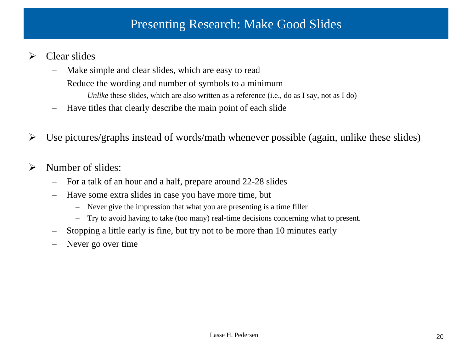#### Presenting Research: Make Good Slides

- $\triangleright$  Clear slides
	- Make simple and clear slides, which are easy to read
	- Reduce the wording and number of symbols to a minimum
		- *Unlike* these slides, which are also written as a reference (i.e., do as I say, not as I do)
	- Have titles that clearly describe the main point of each slide
- $\triangleright$  Use pictures/graphs instead of words/math whenever possible (again, unlike these slides)
- $\triangleright$  Number of slides:
	- For a talk of an hour and a half, prepare around 22-28 slides
	- Have some extra slides in case you have more time, but
		- Never give the impression that what you are presenting is a time filler
		- Try to avoid having to take (too many) real-time decisions concerning what to present.
	- Stopping a little early is fine, but try not to be more than 10 minutes early
	- Never go over time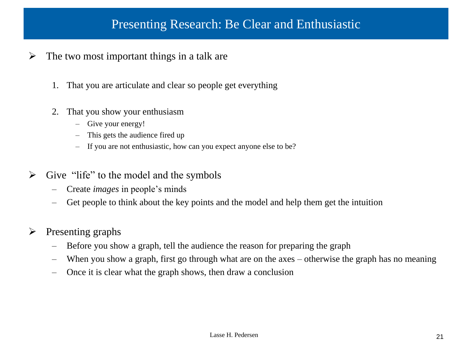#### Presenting Research: Be Clear and Enthusiastic

- $\triangleright$  The two most important things in a talk are
	- 1. That you are articulate and clear so people get everything
	- 2. That you show your enthusiasm
		- Give your energy!
		- This gets the audience fired up
		- If you are not enthusiastic, how can you expect anyone else to be?
- $\triangleright$  Give "life" to the model and the symbols
	- Create *images* in people's minds
	- Get people to think about the key points and the model and help them get the intuition
- $\triangleright$  Presenting graphs
	- Before you show a graph, tell the audience the reason for preparing the graph
	- When you show a graph, first go through what are on the axes otherwise the graph has no meaning
	- Once it is clear what the graph shows, then draw a conclusion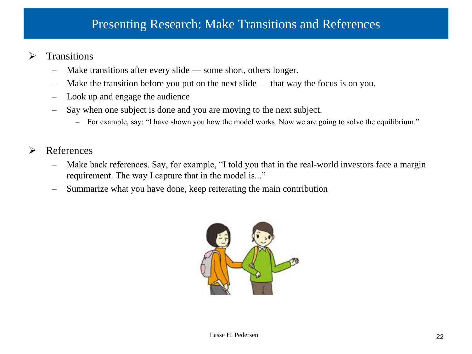#### Presenting Research: Make Transitions and References

- $\triangleright$  Transitions
	- Make transitions after every slide some short, others longer.
	- Make the transition before you put on the next slide that way the focus is on you.
	- Look up and engage the audience
	- Say when one subject is done and you are moving to the next subject.
		- For example, say: "I have shown you how the model works. Now we are going to solve the equilibrium."
- **►** References
	- Make back references. Say, for example, "I told you that in the real-world investors face a margin requirement. The way I capture that in the model is..."
	- Summarize what you have done, keep reiterating the main contribution

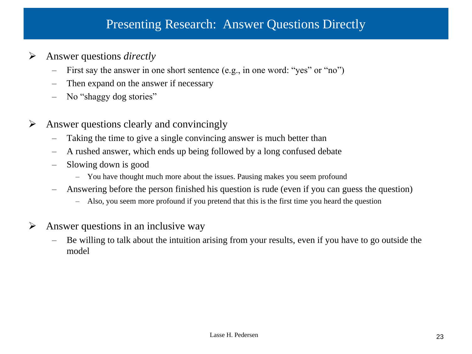### Presenting Research: Answer Questions Directly

- Answer questions *directly*
	- First say the answer in one short sentence (e.g., in one word: "yes" or "no")
	- Then expand on the answer if necessary
	- No "shaggy dog stories"
- $\triangleright$  Answer questions clearly and convincingly
	- Taking the time to give a single convincing answer is much better than
	- A rushed answer, which ends up being followed by a long confused debate
	- Slowing down is good
		- You have thought much more about the issues. Pausing makes you seem profound
	- Answering before the person finished his question is rude (even if you can guess the question)
		- Also, you seem more profound if you pretend that this is the first time you heard the question
- $\triangleright$  Answer questions in an inclusive way
	- Be willing to talk about the intuition arising from your results, even if you have to go outside the model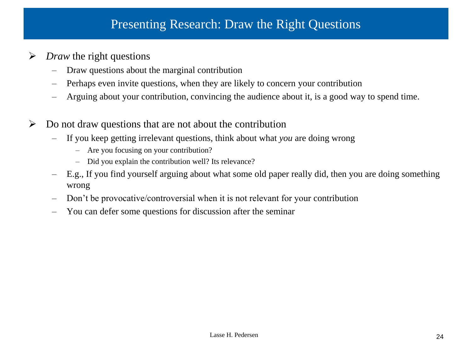## Presenting Research: Draw the Right Questions

- *Draw* the right questions
	- Draw questions about the marginal contribution
	- Perhaps even invite questions, when they are likely to concern your contribution
	- Arguing about your contribution, convincing the audience about it, is a good way to spend time.
- $\triangleright$  Do not draw questions that are not about the contribution
	- If you keep getting irrelevant questions, think about what *you* are doing wrong
		- Are you focusing on your contribution?
		- Did you explain the contribution well? Its relevance?
	- E.g., If you find yourself arguing about what some old paper really did, then you are doing something wrong
	- Don't be provocative/controversial when it is not relevant for your contribution
	- You can defer some questions for discussion after the seminar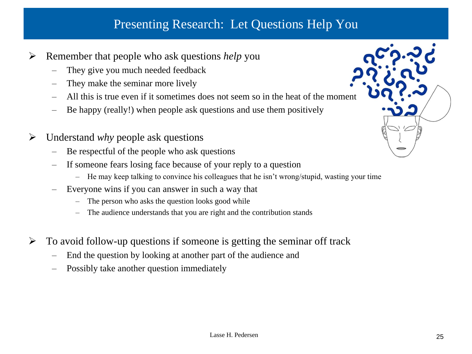# Presenting Research: Let Questions Help You

- Remember that people who ask questions *help* you
	- They give you much needed feedback
	- They make the seminar more lively
	- All this is true even if it sometimes does not seem so in the heat of the moment
	- Be happy (really!) when people ask questions and use them positively
- Understand *why* people ask questions
	- Be respectful of the people who ask questions
	- If someone fears losing face because of your reply to a question
		- He may keep talking to convince his colleagues that he isn't wrong/stupid, wasting your time
	- Everyone wins if you can answer in such a way that
		- The person who asks the question looks good while
		- The audience understands that you are right and the contribution stands
- $\triangleright$  To avoid follow-up questions if someone is getting the seminar off track
	- End the question by looking at another part of the audience and
	- Possibly take another question immediately

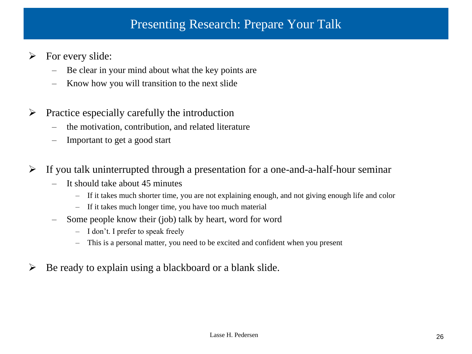#### Presenting Research: Prepare Your Talk

- $\triangleright$  For every slide:
	- Be clear in your mind about what the key points are
	- Know how you will transition to the next slide
- $\triangleright$  Practice especially carefully the introduction
	- the motivation, contribution, and related literature
	- Important to get a good start
- $\triangleright$  If you talk uninterrupted through a presentation for a one-and-a-half-hour seminar
	- It should take about 45 minutes
		- If it takes much shorter time, you are not explaining enough, and not giving enough life and color
		- If it takes much longer time, you have too much material
	- Some people know their (job) talk by heart, word for word
		- I don't. I prefer to speak freely
		- This is a personal matter, you need to be excited and confident when you present
- $\triangleright$  Be ready to explain using a blackboard or a blank slide.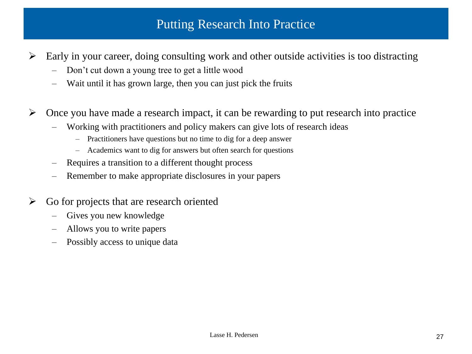## Putting Research Into Practice

- $\triangleright$  Early in your career, doing consulting work and other outside activities is too distracting
	- Don't cut down a young tree to get a little wood
	- Wait until it has grown large, then you can just pick the fruits
- $\triangleright$  Once you have made a research impact, it can be rewarding to put research into practice
	- Working with practitioners and policy makers can give lots of research ideas
		- Practitioners have questions but no time to dig for a deep answer
		- Academics want to dig for answers but often search for questions
	- Requires a transition to a different thought process
	- Remember to make appropriate disclosures in your papers
- $\triangleright$  Go for projects that are research oriented
	- Gives you new knowledge
	- Allows you to write papers
	- Possibly access to unique data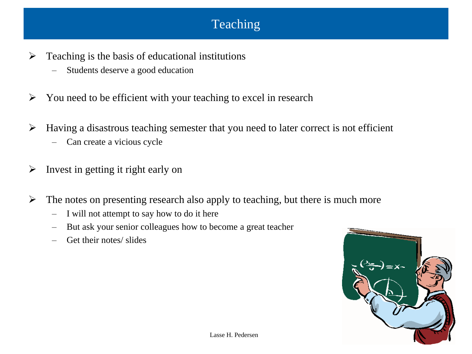# Teaching

- $\triangleright$  Teaching is the basis of educational institutions
	- Students deserve a good education
- $\triangleright$  You need to be efficient with your teaching to excel in research
- $\triangleright$  Having a disastrous teaching semester that you need to later correct is not efficient
	- Can create a vicious cycle
- $\triangleright$  Invest in getting it right early on
- $\triangleright$  The notes on presenting research also apply to teaching, but there is much more
	- I will not attempt to say how to do it here
	- But ask your senior colleagues how to become a great teacher
	- Get their notes/ slides

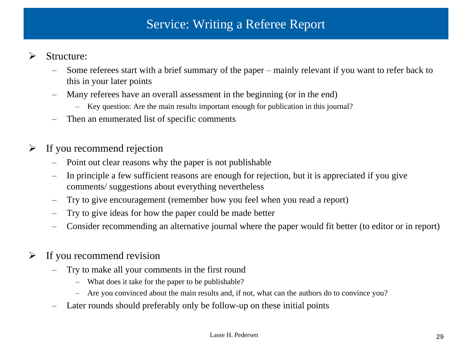# Service: Writing a Referee Report

#### $\triangleright$  Structure:

- Some referees start with a brief summary of the paper mainly relevant if you want to refer back to this in your later points
- Many referees have an overall assessment in the beginning (or in the end)
	- Key question: Are the main results important enough for publication in this journal?
- Then an enumerated list of specific comments

#### $\triangleright$  If you recommend rejection

- Point out clear reasons why the paper is not publishable
- In principle a few sufficient reasons are enough for rejection, but it is appreciated if you give comments/ suggestions about everything nevertheless
- Try to give encouragement (remember how you feel when you read a report)
- Try to give ideas for how the paper could be made better
- Consider recommending an alternative journal where the paper would fit better (to editor or in report)
- $\triangleright$  If you recommend revision
	- Try to make all your comments in the first round
		- What does it take for the paper to be publishable?
		- Are you convinced about the main results and, if not, what can the authors do to convince you?
	- Later rounds should preferably only be follow-up on these initial points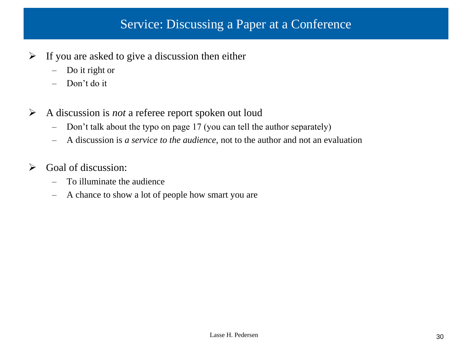## Service: Discussing a Paper at a Conference

- $\triangleright$  If you are asked to give a discussion then either
	- Do it right or
	- Don't do it
- A discussion is *not* a referee report spoken out loud
	- Don't talk about the typo on page 17 (you can tell the author separately)
	- A discussion is *a service to the audience*, not to the author and not an evaluation
- $\triangleright$  Goal of discussion:
	- To illuminate the audience
	- A chance to show a lot of people how smart you are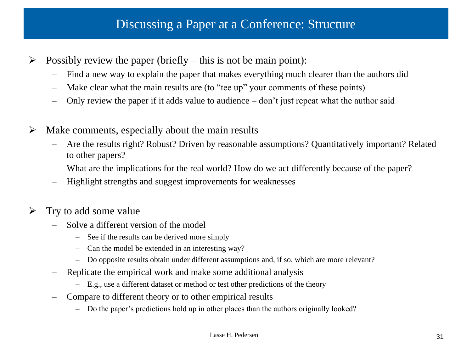#### Discussing a Paper at a Conference: Structure

- $\triangleright$  Possibly review the paper (briefly this is not be main point):
	- Find a new way to explain the paper that makes everything much clearer than the authors did
	- Make clear what the main results are (to "tee up" your comments of these points)
	- Only review the paper if it adds value to audience don't just repeat what the author said
- $\triangleright$  Make comments, especially about the main results
	- Are the results right? Robust? Driven by reasonable assumptions? Quantitatively important? Related to other papers?
	- What are the implications for the real world? How do we act differently because of the paper?
	- Highlight strengths and suggest improvements for weaknesses
- $\triangleright$  Try to add some value
	- Solve a different version of the model
		- See if the results can be derived more simply
		- Can the model be extended in an interesting way?
		- Do opposite results obtain under different assumptions and, if so, which are more relevant?
	- Replicate the empirical work and make some additional analysis
		- E.g., use a different dataset or method or test other predictions of the theory
	- Compare to different theory or to other empirical results
		- Do the paper's predictions hold up in other places than the authors originally looked?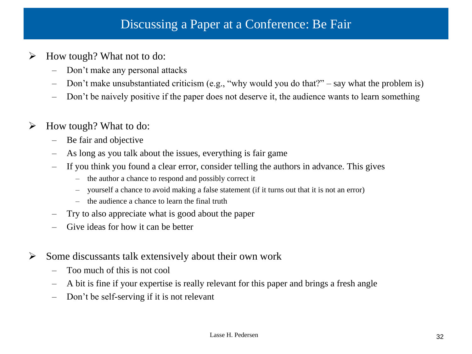#### Discussing a Paper at a Conference: Be Fair

- $\triangleright$  How tough? What not to do:
	- Don't make any personal attacks
	- Don't make unsubstantiated criticism (e.g., "why would you do that?" say what the problem is)
	- Don't be naively positive if the paper does not deserve it, the audience wants to learn something

#### $\triangleright$  How tough? What to do:

- Be fair and objective
- As long as you talk about the issues, everything is fair game
- If you think you found a clear error, consider telling the authors in advance. This gives
	- the author a chance to respond and possibly correct it
	- yourself a chance to avoid making a false statement (if it turns out that it is not an error)
	- the audience a chance to learn the final truth
- Try to also appreciate what is good about the paper
- Give ideas for how it can be better
- $\triangleright$  Some discussants talk extensively about their own work
	- Too much of this is not cool
	- A bit is fine if your expertise is really relevant for this paper and brings a fresh angle
	- Don't be self-serving if it is not relevant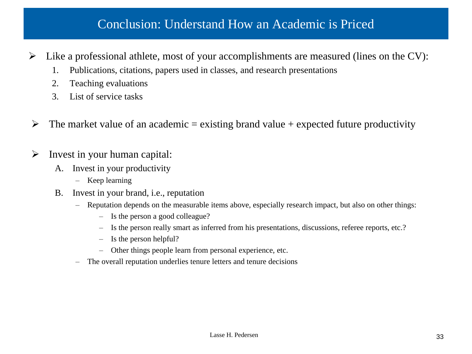### Conclusion: Understand How an Academic is Priced

 $\triangleright$  Like a professional athlete, most of your accomplishments are measured (lines on the CV):

- 1. Publications, citations, papers used in classes, and research presentations
- 2. Teaching evaluations
- 3. List of service tasks
- $\triangleright$  The market value of an academic = existing brand value + expected future productivity
- $\triangleright$  Invest in your human capital:
	- A. Invest in your productivity
		- Keep learning
	- B. Invest in your brand, i.e., reputation
		- Reputation depends on the measurable items above, especially research impact, but also on other things:
			- Is the person a good colleague?
			- Is the person really smart as inferred from his presentations, discussions, referee reports, etc.?
			- Is the person helpful?
			- Other things people learn from personal experience, etc.
		- The overall reputation underlies tenure letters and tenure decisions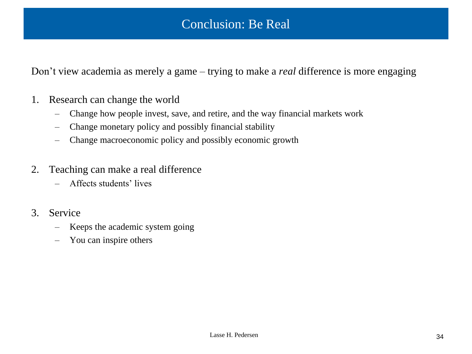Don't view academia as merely a game – trying to make a *real* difference is more engaging

- 1. Research can change the world
	- Change how people invest, save, and retire, and the way financial markets work
	- Change monetary policy and possibly financial stability
	- Change macroeconomic policy and possibly economic growth
- 2. Teaching can make a real difference
	- Affects students' lives
- 3. Service
	- Keeps the academic system going
	- You can inspire others